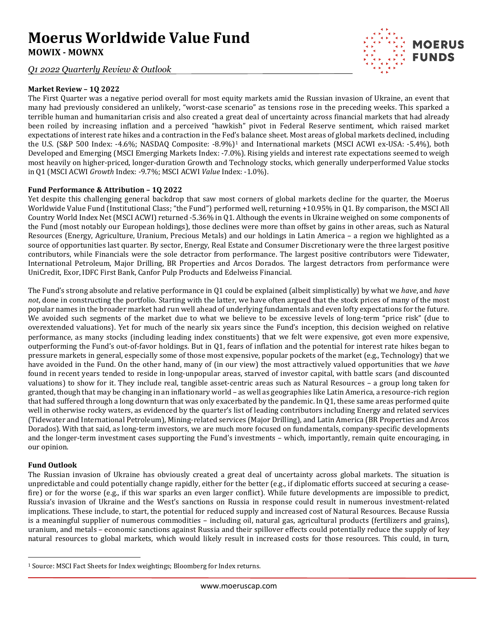## **Moerus Worldwide Value Fund MOWIX - MOWNX**

*Q1 2022 Quarterly Review & Outlook*



The First Quarter was a negative period overall for most equity markets amid the Russian invasion of Ukraine, an event that many had previously considered an unlikely, "worst-case scenario" as tensions rose in the preceding weeks. This sparked a terrible human and humanitarian crisis and also created a great deal of uncertainty across financial markets that had already been roiled by increasing inflation and a perceived "hawkish" pivot in Federal Reserve sentiment, which raised market expectations of interest rate hikes and a contraction in the Fed's balance sheet. Most areas of global markets declined, including the U.S. (S&P 500 Index: -4.6%; NASDAQ Composite: -8.9%)<sup>[1](#page-0-0)</sup> and International markets (MSCI ACWI ex-USA: -5.4%), both Developed and Emerging (MSCI Emerging Markets Index: -7.0%). Rising yields and interest rate expectations seemed to weigh most heavily on higher-priced, longer-duration Growth and Technology stocks, which generally underperformed Value stocks in Q1 (MSCI ACWI *Growth* Index: -9.7%; MSCI ACWI *Value* Index: -1.0%).

**MOERUS FUNDS** 

## **Fund Performance & Attribution – 1Q 2022**

Yet despite this challenging general backdrop that saw most corners of global markets decline for the quarter, the Moerus Worldwide Value Fund (Institutional Class; "the Fund") performed well, returning +10.95% in Q1. By comparison, the MSCI All Country World Index Net (MSCI ACWI) returned -5.36% in Q1. Although the events in Ukraine weighed on some components of the Fund (most notably our European holdings), those declines were more than offset by gains in other areas, such as Natural Resources (Energy, Agriculture, Uranium, Precious Metals) and our holdings in Latin America – a region we highlighted as a source of opportunities last quarter. By sector, Energy, Real Estate and Consumer Discretionary were the three largest positive contributors, while Financials were the sole detractor from performance. The largest positive contributors were Tidewater, International Petroleum, Major Drilling, BR Properties and Arcos Dorados. The largest detractors from performance were UniCredit, Exor, IDFC First Bank, Canfor Pulp Products and Edelweiss Financial.

The Fund's strong absolute and relative performance in Q1 could be explained (albeit simplistically) by what we *have*, and *have not*, done in constructing the portfolio. Starting with the latter, we have often argued that the stock prices of many of the most popular names in the broader market had run well ahead of underlying fundamentals and even lofty expectations for the future. We avoided such segments of the market due to what we believe to be excessive levels of long-term "price risk" (due to overextended valuations). Yet for much of the nearly six years since the Fund's inception, this decision weighed on relative performance, as many stocks (including leading index constituents) that we felt were expensive, got even more expensive, outperforming the Fund's out-of-favor holdings. But in Q1, fears of inflation and the potential for interest rate hikes began to pressure markets in general, especially some of those most expensive, popular pockets of the market (e.g., Technology) that we have avoided in the Fund. On the other hand, many of (in our view) the most attractively valued opportunities that we *have* found in recent years tended to reside in long-unpopular areas, starved of investor capital, with battle scars (and discounted valuations) to show for it. They include real, tangible asset-centric areas such as Natural Resources – a group long taken for granted, though that may be changing in an inflationary world – as well as geographies like Latin America, a resource-rich region that had suffered through a long downturn that was only exacerbated by the pandemic. In Q1, these same areas performed quite well in otherwise rocky waters, as evidenced by the quarter's list of leading contributors including Energy and related services (Tidewater and International Petroleum), Mining-related services (Major Drilling), and Latin America (BR Properties and Arcos Dorados). With that said, as long-term investors, we are much more focused on fundamentals, company-specific developments and the longer-term investment cases supporting the Fund's investments – which, importantly, remain quite encouraging, in our opinion.

## **Fund Outlook**

The Russian invasion of Ukraine has obviously created a great deal of uncertainty across global markets. The situation is unpredictable and could potentially change rapidly, either for the better (e.g., if diplomatic efforts succeed at securing a ceasefire) or for the worse (e.g., if this war sparks an even larger conflict). While future developments are impossible to predict, Russia's invasion of Ukraine and the West's sanctions on Russia in response could result in numerous investment-related implications. These include, to start, the potential for reduced supply and increased cost of Natural Resources. Because Russia is a meaningful supplier of numerous commodities – including oil, natural gas, agricultural products (fertilizers and grains), uranium, and metals – economic sanctions against Russia and their spillover effects could potentially reduce the supply of key natural resources to global markets, which would likely result in increased costs for those resources. This could, in turn,

<span id="page-0-0"></span><sup>1</sup> Source: MSCI Fact Sheets for Index weightings; Bloomberg for Index returns.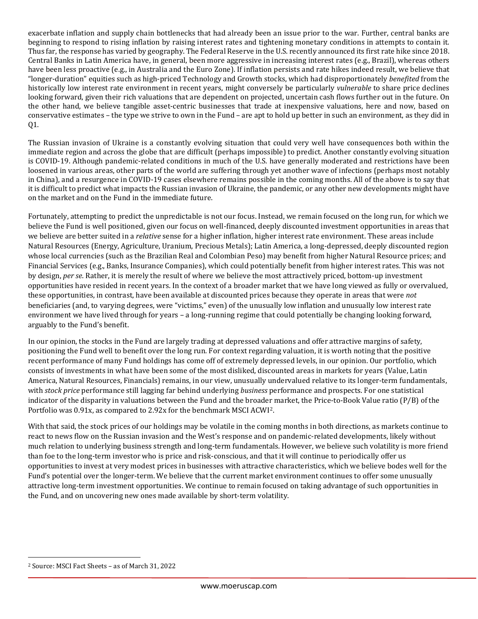exacerbate inflation and supply chain bottlenecks that had already been an issue prior to the war. Further, central banks are beginning to respond to rising inflation by raising interest rates and tightening monetary conditions in attempts to contain it. Thus far, the response has varied by geography. The Federal Reserve in the U.S. recently announced its first rate hike since 2018. Central Banks in Latin America have, in general, been more aggressive in increasing interest rates (e.g., Brazil), whereas others have been less proactive (e.g., in Australia and the Euro Zone). If inflation persists and rate hikes indeed result, we believe that "longer-duration" equities such as high-priced Technology and Growth stocks, which had disproportionately *benefited* from the historically low interest rate environment in recent years, might conversely be particularly *vulnerable* to share price declines looking forward, given their rich valuations that are dependent on projected, uncertain cash flows further out in the future. On the other hand, we believe tangible asset-centric businesses that trade at inexpensive valuations, here and now, based on conservative estimates – the type we strive to own in the Fund – are apt to hold up better in such an environment, as they did in Q1.

The Russian invasion of Ukraine is a constantly evolving situation that could very well have consequences both within the immediate region and across the globe that are difficult (perhaps impossible) to predict. Another constantly evolving situation is COVID-19. Although pandemic-related conditions in much of the U.S. have generally moderated and restrictions have been loosened in various areas, other parts of the world are suffering through yet another wave of infections (perhaps most notably in China), and a resurgence in COVID-19 cases elsewhere remains possible in the coming months. All of the above is to say that it is difficult to predict what impacts the Russian invasion of Ukraine, the pandemic, or any other new developments might have on the market and on the Fund in the immediate future.

Fortunately, attempting to predict the unpredictable is not our focus. Instead, we remain focused on the long run, for which we believe the Fund is well positioned, given our focus on well-financed, deeply discounted investment opportunities in areas that we believe are better suited in a *relative* sense for a higher inflation, higher interest rate environment. These areas include Natural Resources (Energy, Agriculture, Uranium, Precious Metals); Latin America, a long-depressed, deeply discounted region whose local currencies (such as the Brazilian Real and Colombian Peso) may benefit from higher Natural Resource prices; and Financial Services (e.g., Banks, Insurance Companies), which could potentially benefit from higher interest rates. This was not by design, *per se*. Rather, it is merely the result of where we believe the most attractively priced, bottom-up investment opportunities have resided in recent years. In the context of a broader market that we have long viewed as fully or overvalued, these opportunities, in contrast, have been available at discounted prices because they operate in areas that were *not* beneficiaries (and, to varying degrees, were "victims," even) of the unusually low inflation and unusually low interest rate environment we have lived through for years – a long-running regime that could potentially be changing looking forward, arguably to the Fund's benefit.

In our opinion, the stocks in the Fund are largely trading at depressed valuations and offer attractive margins of safety, positioning the Fund well to benefit over the long run. For context regarding valuation, it is worth noting that the positive recent performance of many Fund holdings has come off of extremely depressed levels, in our opinion. Our portfolio, which consists of investments in what have been some of the most disliked, discounted areas in markets for years (Value, Latin America, Natural Resources, Financials) remains, in our view, unusually undervalued relative to its longer-term fundamentals, with *stock price* performance still lagging far behind underlying *business* performance and prospects. For one statistical indicator of the disparity in valuations between the Fund and the broader market, the Price-to-Book Value ratio (P/B) of the Portfolio was 0.91x, as compared to 2.92x for the benchmark MSCI ACWI[2.](#page-1-0)

With that said, the stock prices of our holdings may be volatile in the coming months in both directions, as markets continue to react to news flow on the Russian invasion and the West's response and on pandemic-related developments, likely without much relation to underlying business strength and long-term fundamentals. However, we believe such volatility is more friend than foe to the long-term investor who is price and risk-conscious, and that it will continue to periodically offer us opportunities to invest at very modest prices in businesses with attractive characteristics, which we believe bodes well for the Fund's potential over the longer-term. We believe that the current market environment continues to offer some unusually attractive long-term investment opportunities. We continue to remain focused on taking advantage of such opportunities in the Fund, and on uncovering new ones made available by short-term volatility.

<span id="page-1-0"></span><sup>2</sup> Source: MSCI Fact Sheets – as of March 31, 2022